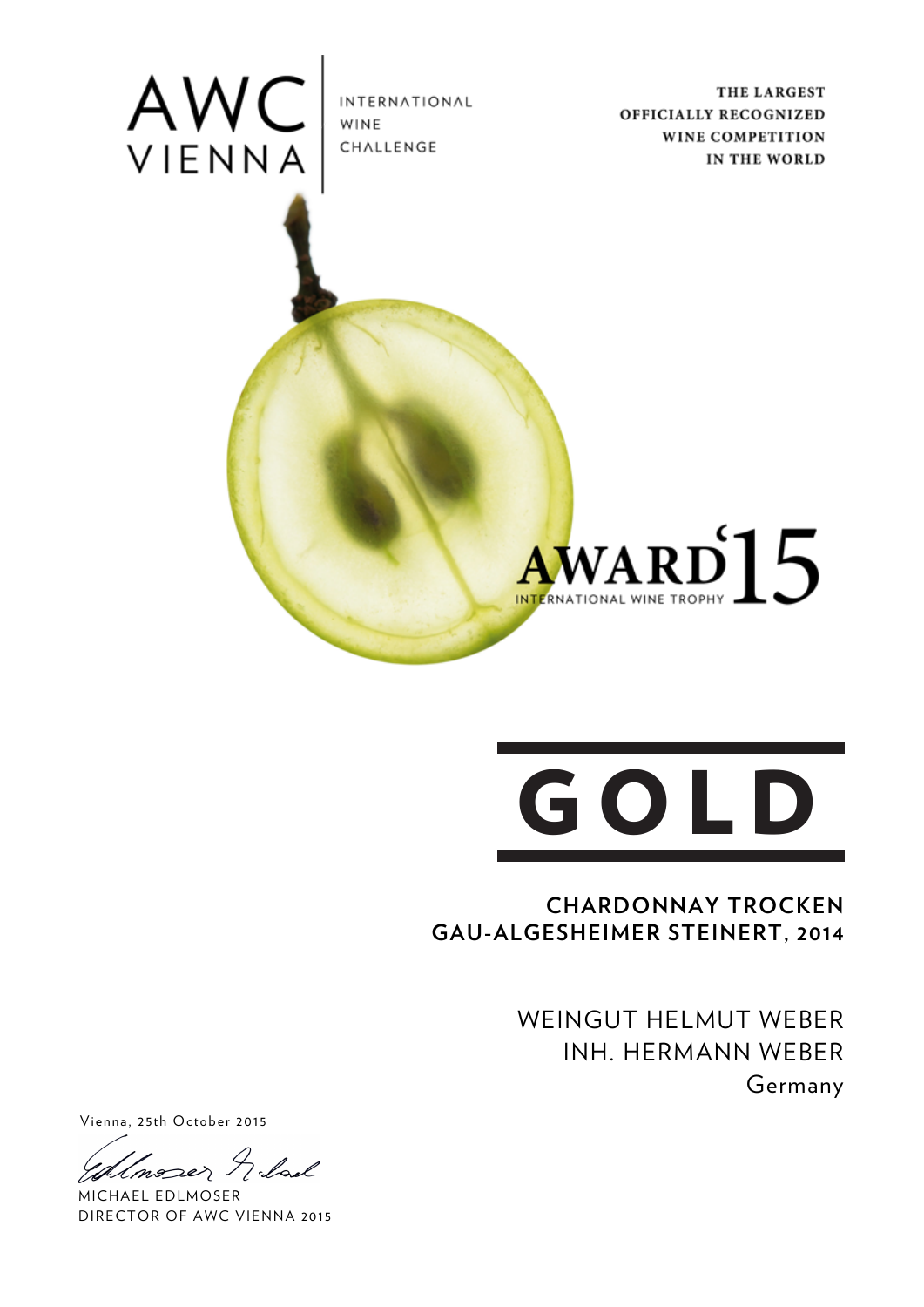THE LARGEST OFFICIALLY RECOGNIZED WINE COMPETITION **IN THE WORLD** 



### GOLD

**CHARDONNAY TROCKEN GAU-ALGESHEIMER STEINERT, 2014**

> WEINGUT HELMUT WEBER INH. HERMANN WEBER Germany

Uneser I lad

MICHAEL EDLMOSER DIRECTOR OF AWC VIENNA 2015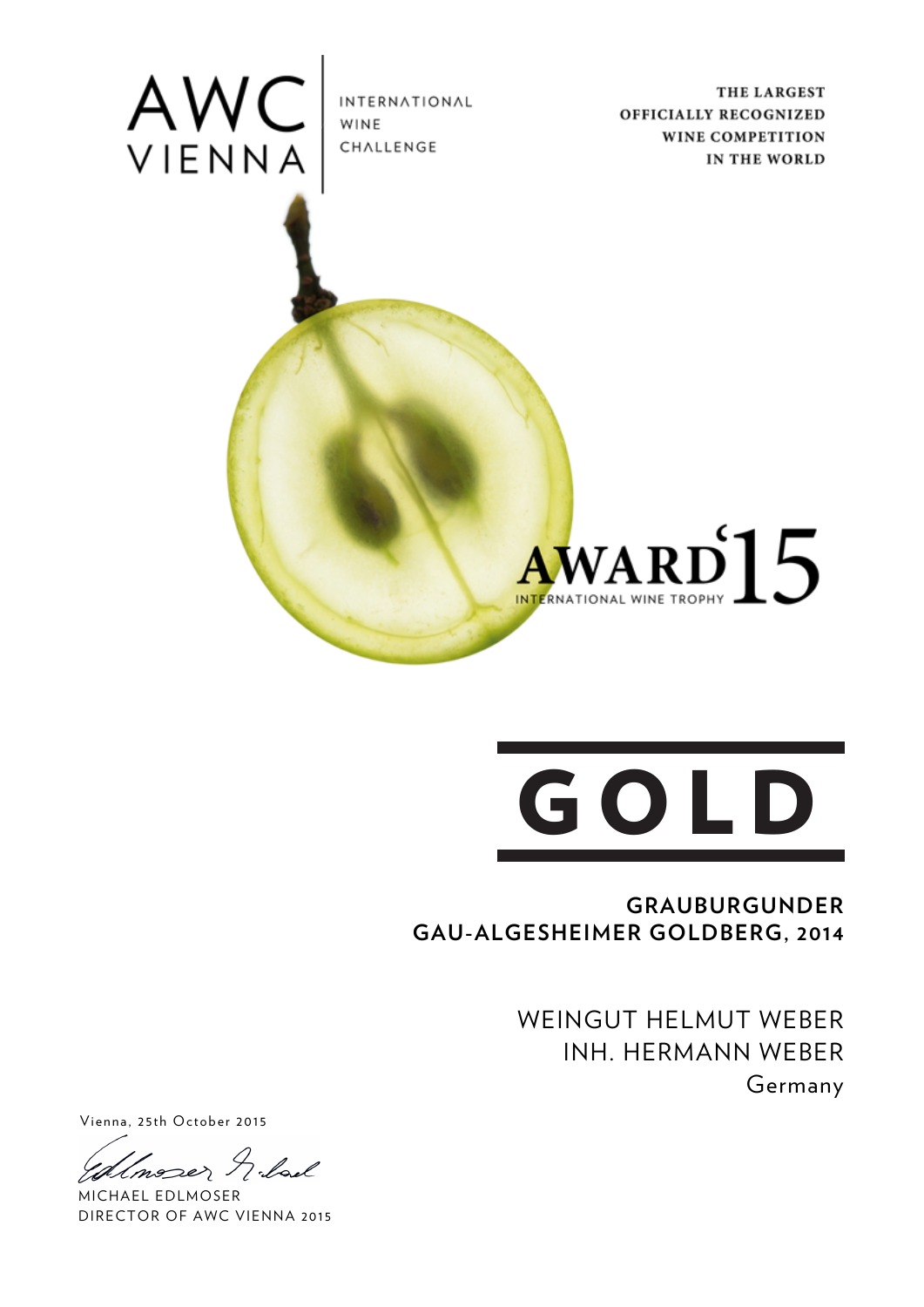THE LARGEST OFFICIALLY RECOGNIZED WINE COMPETITION **IN THE WORLD** 



### GOLD

#### **GRAUBURGUNDER GAU-ALGESHEIMER GOLDBERG, 2014**

WEINGUT HELMUT WEBER INH. HERMANN WEBER Germany

Uneser Alad

MICHAEL EDLMOSER DIRECTOR OF AWC VIENNA 2015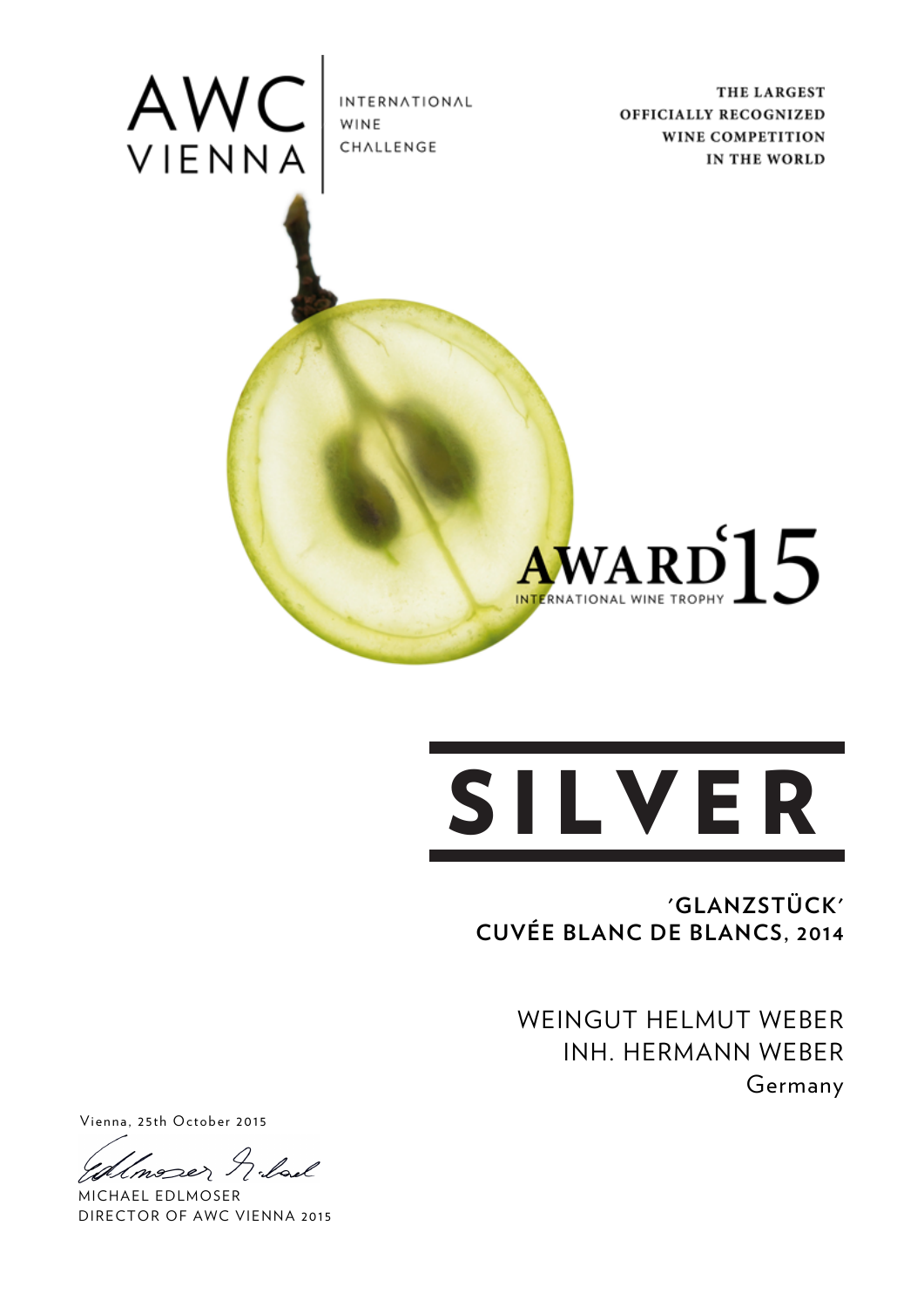THE LARGEST OFFICIALLY RECOGNIZED WINE COMPETITION **IN THE WORLD** 



# SILVER

### **'GLANZSTÜCK' CUVÉE BLANC DE BLANCS, 2014**

WEINGUT HELMUT WEBER INH. HERMANN WEBER Germany

Inoser Filad

MICHAEL EDLMOSER DIRECTOR OF AWC VIENNA 2015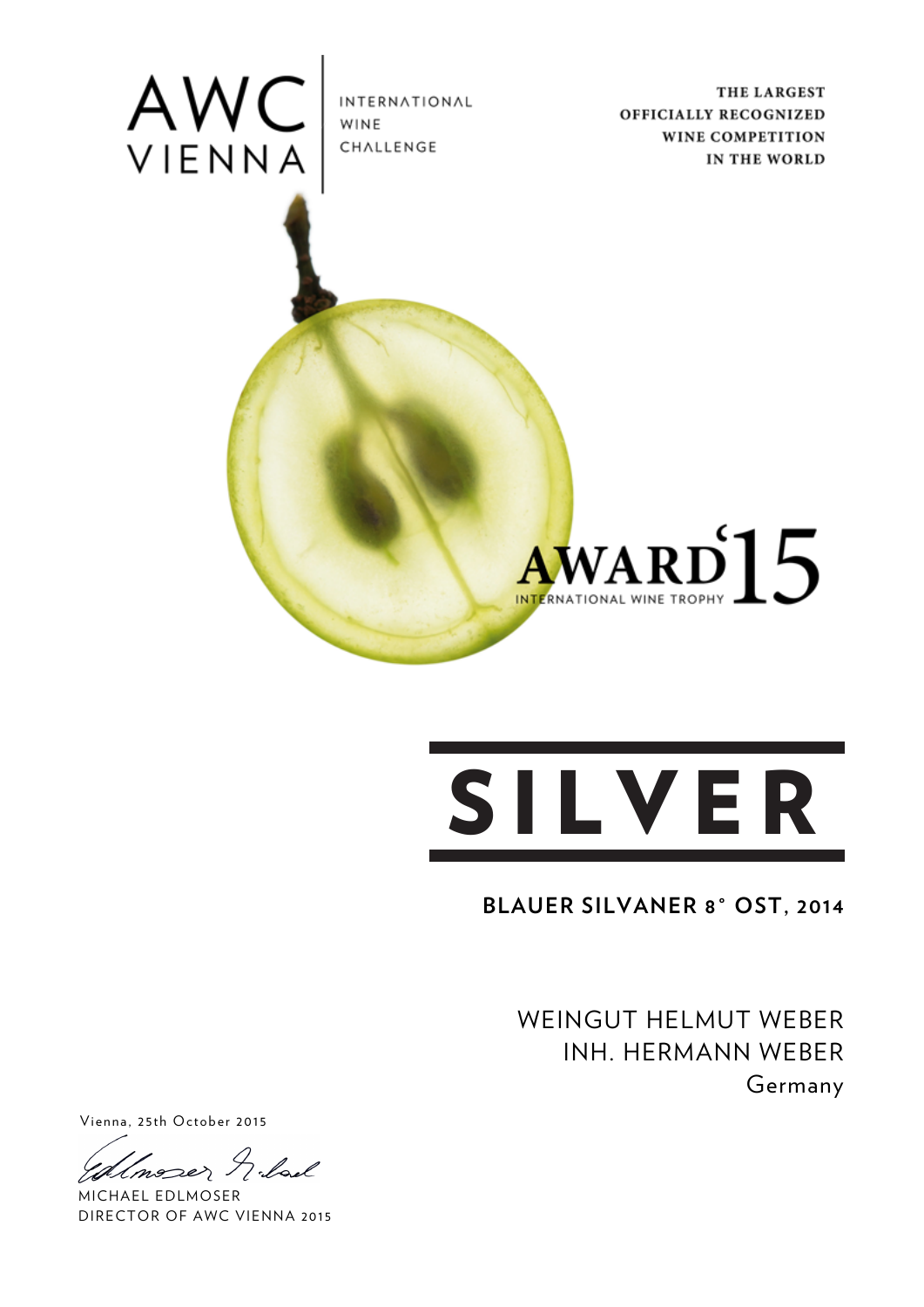THE LARGEST OFFICIALLY RECOGNIZED WINE COMPETITION **IN THE WORLD** 



### SILVER

#### **BLAUER SILVANER 8° OST, 2014**

WEINGUT HELMUT WEBER INH. HERMANN WEBER Germany

Uneser I lad

MICHAEL EDLMOSER DIRECTOR OF AWC VIENNA 2015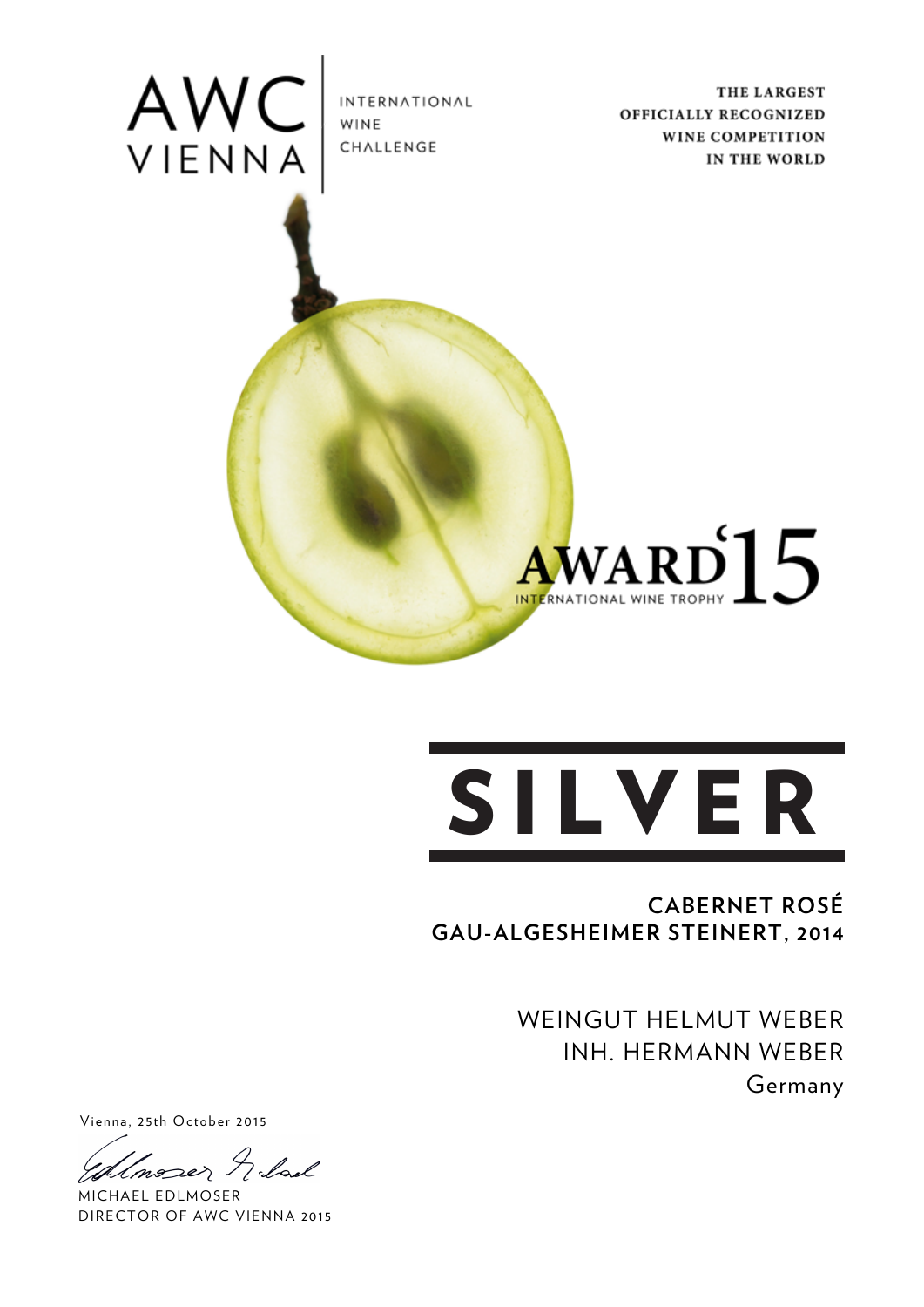THE LARGEST OFFICIALLY RECOGNIZED WINE COMPETITION **IN THE WORLD** 



# SILVER

### **CABERNET ROSÉ GAU-ALGESHEIMER STEINERT, 2014**

WEINGUT HELMUT WEBER INH. HERMANN WEBER Germany

Inoser Filad

MICHAEL EDLMOSER DIRECTOR OF AWC VIENNA 2015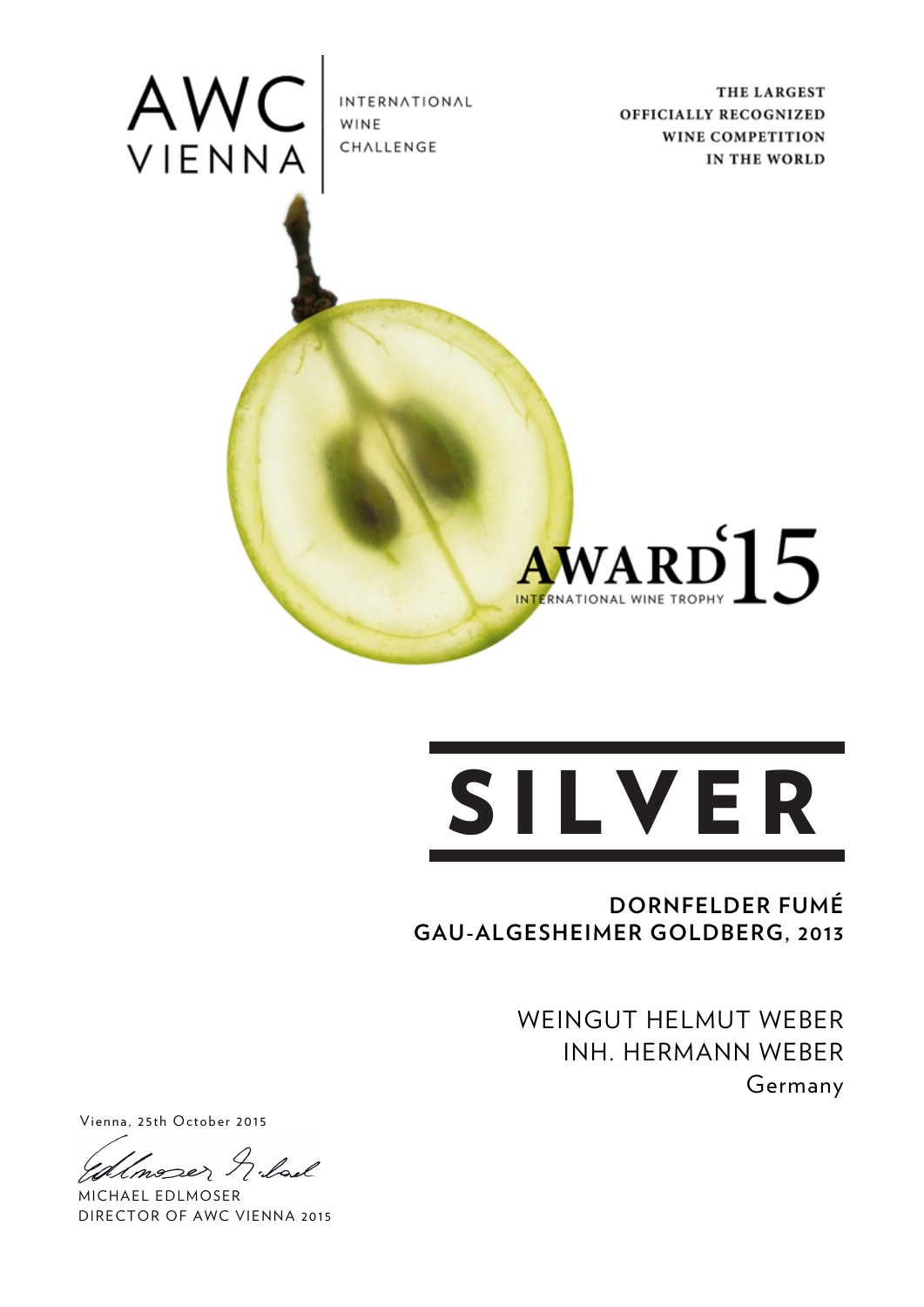THE LARGEST OFFICIALLY RECOGNIZED WINE COMPETITION **IN THE WORLD** 



# SILVER

#### **DORNFELDER FUMÉ GAU-ALGESHEIMER GOLDBERG, 2013**

WEINGUT HELMUT WEBER INH. HERMANN WEBER Germany

Inoser Filad

MICHAEL EDLMOSER DIRECTOR OF AWC VIENNA 2015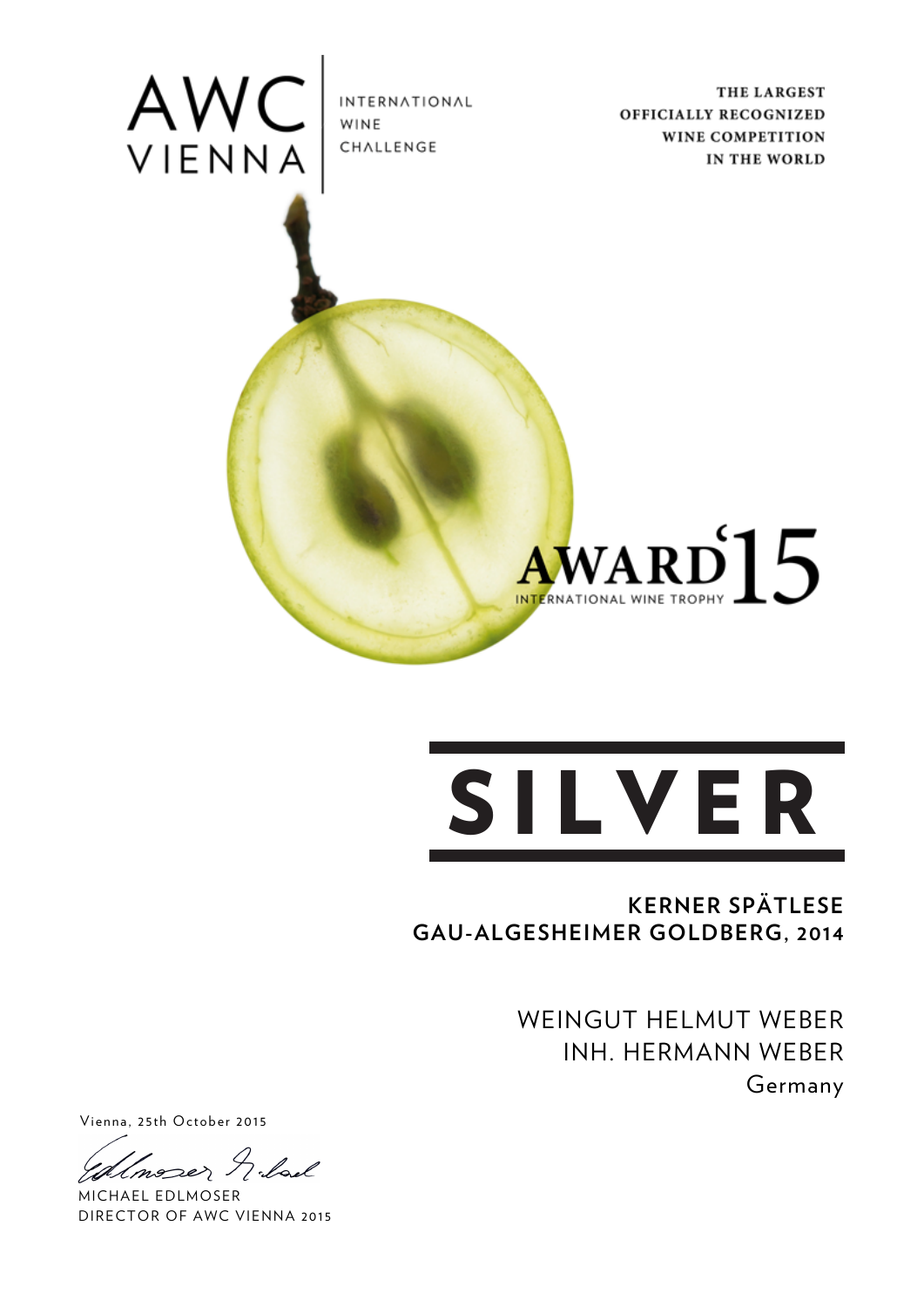THE LARGEST OFFICIALLY RECOGNIZED WINE COMPETITION **IN THE WORLD** 



# SILVER

#### **KERNER SPÄTLESE GAU-ALGESHEIMER GOLDBERG, 2014**

WEINGUT HELMUT WEBER INH. HERMANN WEBER Germany

Inoser Filad

MICHAEL EDLMOSER DIRECTOR OF AWC VIENNA 2015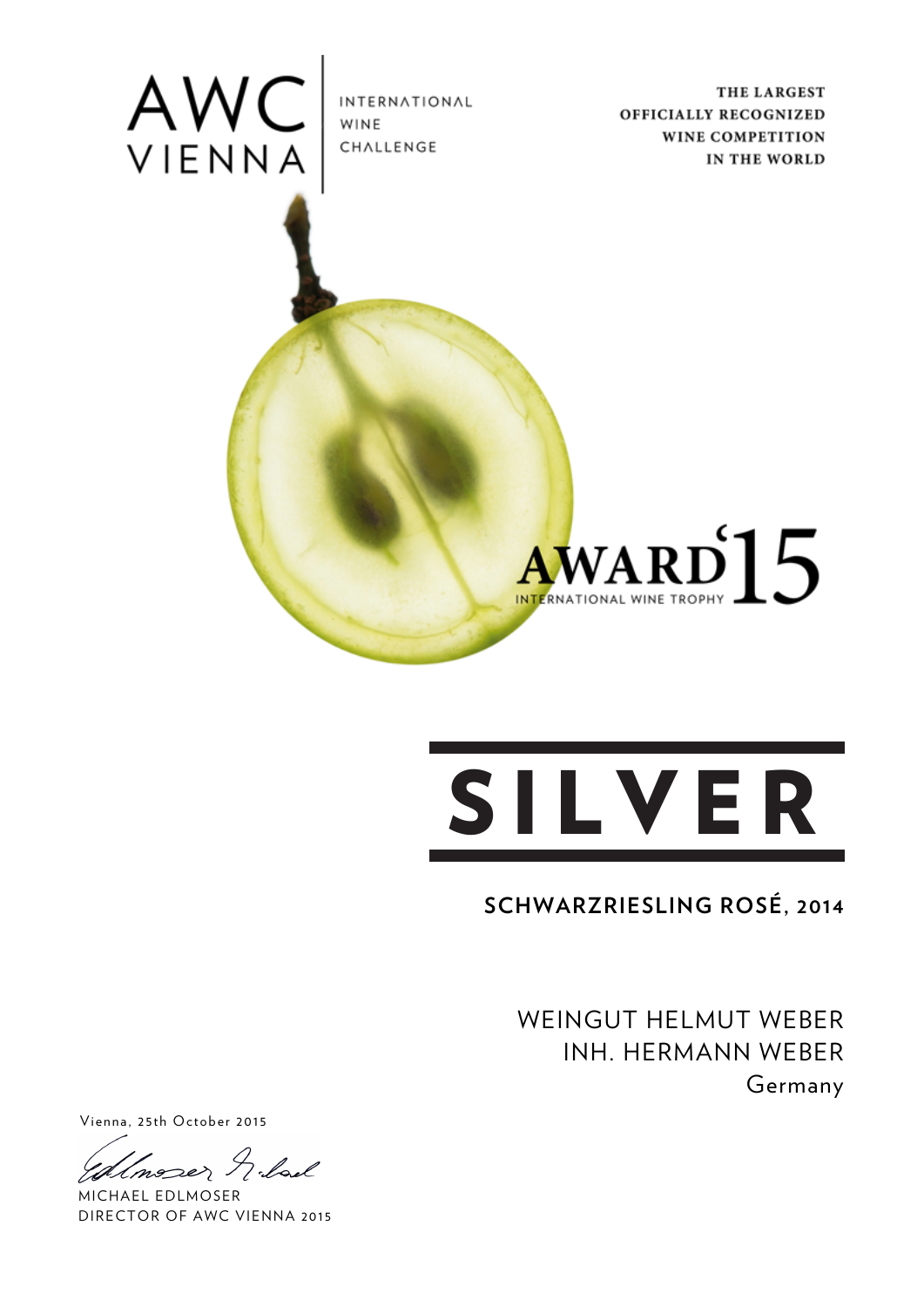THE LARGEST OFFICIALLY RECOGNIZED WINE COMPETITION **IN THE WORLD** 



# SILVER

### **SCHWARZRIESLING ROSÉ, 2014**

WEINGUT HELMUT WEBER INH. HERMANN WEBER Germany

Uneser I lad

MICHAEL EDLMOSER DIRECTOR OF AWC VIENNA 2015